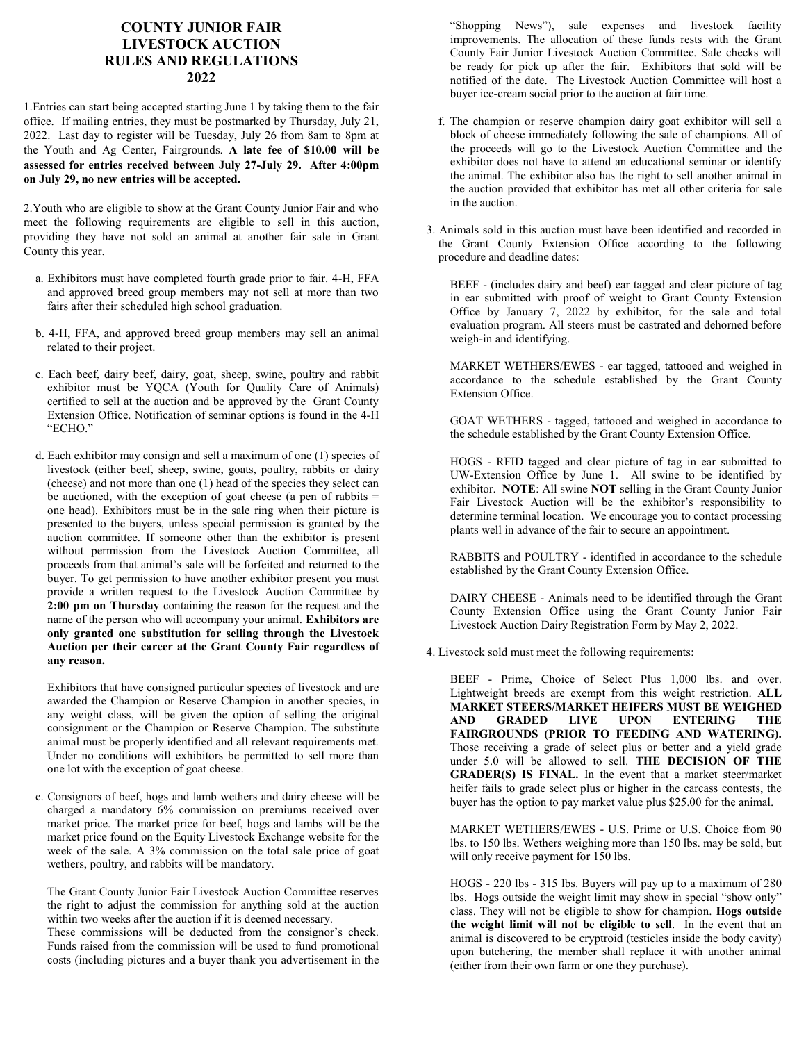## **COUNTY JUNIOR FAIR LIVESTOCK AUCTION RULES AND REGULATIONS 2022**

1.Entries can start being accepted starting June 1 by taking them to the fair office. If mailing entries, they must be postmarked by Thursday, July 21, 2022. Last day to register will be Tuesday, July 26 from 8am to 8pm at the Youth and Ag Center, Fairgrounds. **A late fee of \$10.00 will be assessed for entries received between July 27-July 29. After 4:00pm on July 29, no new entries will be accepted.** 

2.Youth who are eligible to show at the Grant County Junior Fair and who meet the following requirements are eligible to sell in this auction, providing they have not sold an animal at another fair sale in Grant County this year.

- a. Exhibitors must have completed fourth grade prior to fair. 4-H, FFA and approved breed group members may not sell at more than two fairs after their scheduled high school graduation.
- b. 4-H, FFA, and approved breed group members may sell an animal related to their project.
- c. Each beef, dairy beef, dairy, goat, sheep, swine, poultry and rabbit exhibitor must be YQCA (Youth for Quality Care of Animals) certified to sell at the auction and be approved by the Grant County Extension Office. Notification of seminar options is found in the 4-H "ECHO."
- d. Each exhibitor may consign and sell a maximum of one (1) species of livestock (either beef, sheep, swine, goats, poultry, rabbits or dairy (cheese) and not more than one (1) head of the species they select can be auctioned, with the exception of goat cheese (a pen of rabbits  $=$ one head). Exhibitors must be in the sale ring when their picture is presented to the buyers, unless special permission is granted by the auction committee. If someone other than the exhibitor is present without permission from the Livestock Auction Committee, all proceeds from that animal's sale will be forfeited and returned to the buyer. To get permission to have another exhibitor present you must provide a written request to the Livestock Auction Committee by **2:00 pm on Thursday** containing the reason for the request and the name of the person who will accompany your animal. **Exhibitors are only granted one substitution for selling through the Livestock Auction per their career at the Grant County Fair regardless of any reason.**

Exhibitors that have consigned particular species of livestock and are awarded the Champion or Reserve Champion in another species, in any weight class, will be given the option of selling the original consignment or the Champion or Reserve Champion. The substitute animal must be properly identified and all relevant requirements met. Under no conditions will exhibitors be permitted to sell more than one lot with the exception of goat cheese.

e. Consignors of beef, hogs and lamb wethers and dairy cheese will be charged a mandatory 6% commission on premiums received over market price. The market price for beef, hogs and lambs will be the market price found on the Equity Livestock Exchange website for the week of the sale. A 3% commission on the total sale price of goat wethers, poultry, and rabbits will be mandatory.

The Grant County Junior Fair Livestock Auction Committee reserves the right to adjust the commission for anything sold at the auction within two weeks after the auction if it is deemed necessary.

These commissions will be deducted from the consignor's check. Funds raised from the commission will be used to fund promotional costs (including pictures and a buyer thank you advertisement in the

"Shopping News"), sale expenses and livestock facility improvements. The allocation of these funds rests with the Grant County Fair Junior Livestock Auction Committee. Sale checks will be ready for pick up after the fair. Exhibitors that sold will be notified of the date. The Livestock Auction Committee will host a buyer ice-cream social prior to the auction at fair time.

- f. The champion or reserve champion dairy goat exhibitor will sell a block of cheese immediately following the sale of champions. All of the proceeds will go to the Livestock Auction Committee and the exhibitor does not have to attend an educational seminar or identify the animal. The exhibitor also has the right to sell another animal in the auction provided that exhibitor has met all other criteria for sale in the auction.
- 3. Animals sold in this auction must have been identified and recorded in the Grant County Extension Office according to the following procedure and deadline dates:

BEEF - (includes dairy and beef) ear tagged and clear picture of tag in ear submitted with proof of weight to Grant County Extension Office by January 7, 2022 by exhibitor, for the sale and total evaluation program. All steers must be castrated and dehorned before weigh-in and identifying.

MARKET WETHERS/EWES - ear tagged, tattooed and weighed in accordance to the schedule established by the Grant County Extension Office.

GOAT WETHERS - tagged, tattooed and weighed in accordance to the schedule established by the Grant County Extension Office.

HOGS - RFID tagged and clear picture of tag in ear submitted to UW-Extension Office by June 1. All swine to be identified by exhibitor. **NOTE**: All swine **NOT** selling in the Grant County Junior Fair Livestock Auction will be the exhibitor's responsibility to determine terminal location. We encourage you to contact processing plants well in advance of the fair to secure an appointment.

RABBITS and POULTRY - identified in accordance to the schedule established by the Grant County Extension Office.

DAIRY CHEESE - Animals need to be identified through the Grant County Extension Office using the Grant County Junior Fair Livestock Auction Dairy Registration Form by May 2, 2022.

4. Livestock sold must meet the following requirements:

BEEF - Prime, Choice of Select Plus 1,000 lbs. and over. Lightweight breeds are exempt from this weight restriction. **ALL MARKET STEERS/MARKET HEIFERS MUST BE WEIGHED AND GRADED LIVE UPON ENTERING THE FAIRGROUNDS (PRIOR TO FEEDING AND WATERING).** Those receiving a grade of select plus or better and a yield grade under 5.0 will be allowed to sell. **THE DECISION OF THE GRADER(S) IS FINAL.** In the event that a market steer/market heifer fails to grade select plus or higher in the carcass contests, the buyer has the option to pay market value plus \$25.00 for the animal.

MARKET WETHERS/EWES - U.S. Prime or U.S. Choice from 90 lbs. to 150 lbs. Wethers weighing more than 150 lbs. may be sold, but will only receive payment for 150 lbs.

HOGS - 220 lbs - 315 lbs. Buyers will pay up to a maximum of 280 lbs. Hogs outside the weight limit may show in special "show only" class. They will not be eligible to show for champion. **Hogs outside the weight limit will not be eligible to sell**. In the event that an animal is discovered to be cryptroid (testicles inside the body cavity) upon butchering, the member shall replace it with another animal (either from their own farm or one they purchase).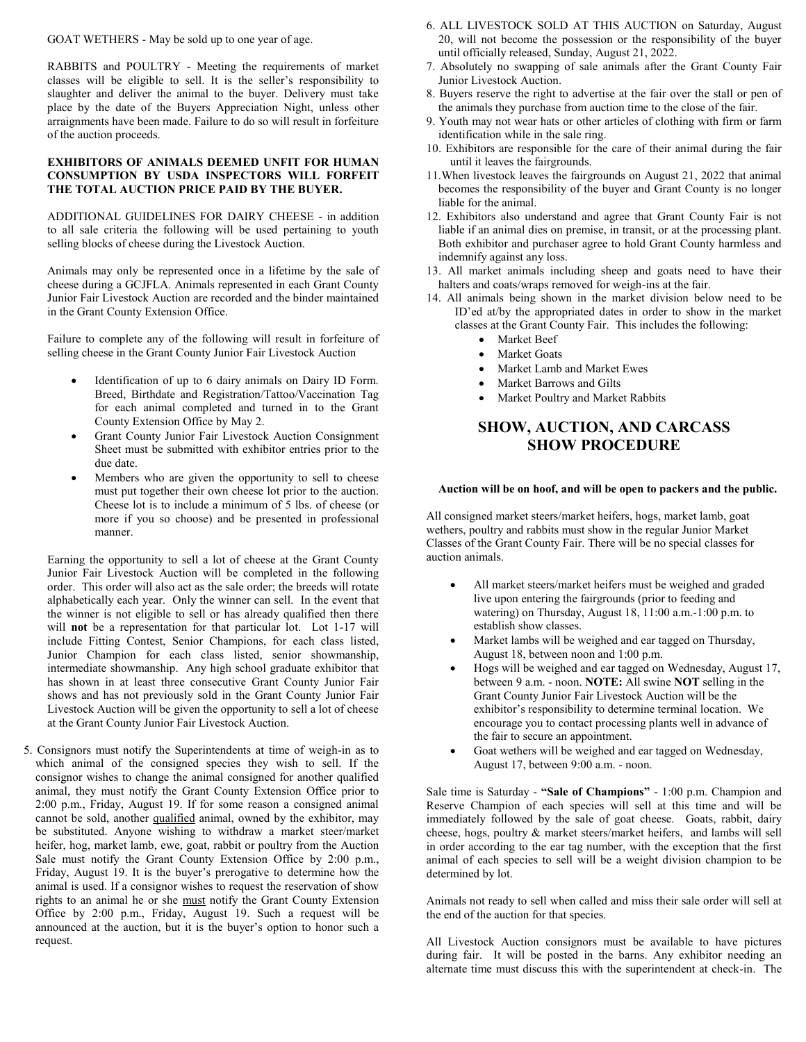GOAT WETHERS - May be sold up to one year of age.

RABBITS and POULTRY - Meeting the requirements of market classes will be eligible to sell. It is the seller's responsibility to slaughter and deliver the animal to the buyer. Delivery must take place by the date of the Buyers Appreciation Night, unless other arraignments have been made. Failure to do so will result in forfeiture of the auction proceeds.

## **EXHIBITORS OF ANIMALS DEEMED UNFIT FOR HUMAN CONSUMPTION BY USDA INSPECTORS WILL FORFEIT THE TOTAL AUCTION PRICE PAID BY THE BUYER.**

ADDITIONAL GUIDELINES FOR DAIRY CHEESE - in addition to all sale criteria the following will be used pertaining to youth selling blocks of cheese during the Livestock Auction.

Animals may only be represented once in a lifetime by the sale of cheese during a GCJFLA. Animals represented in each Grant County Junior Fair Livestock Auction are recorded and the binder maintained in the Grant County Extension Office.

Failure to complete any of the following will result in forfeiture of selling cheese in the Grant County Junior Fair Livestock Auction

- Identification of up to 6 dairy animals on Dairy ID Form. Breed, Birthdate and Registration/Tattoo/Vaccination Tag for each animal completed and turned in to the Grant County Extension Office by May 2.
- Grant County Junior Fair Livestock Auction Consignment Sheet must be submitted with exhibitor entries prior to the due date.
- Members who are given the opportunity to sell to cheese must put together their own cheese lot prior to the auction. Cheese lot is to include a minimum of 5 lbs. of cheese (or more if you so choose) and be presented in professional manner.

Earning the opportunity to sell a lot of cheese at the Grant County Junior Fair Livestock Auction will be completed in the following order. This order will also act as the sale order; the breeds will rotate alphabetically each year. Only the winner can sell. In the event that the winner is not eligible to sell or has already qualified then there will **not** be a representation for that particular lot. Lot 1-17 will include Fitting Contest, Senior Champions, for each class listed, Junior Champion for each class listed, senior showmanship, intermediate showmanship. Any high school graduate exhibitor that has shown in at least three consecutive Grant County Junior Fair shows and has not previously sold in the Grant County Junior Fair Livestock Auction will be given the opportunity to sell a lot of cheese at the Grant County Junior Fair Livestock Auction.

5. Consignors must notify the Superintendents at time of weigh-in as to which animal of the consigned species they wish to sell. If the consignor wishes to change the animal consigned for another qualified animal, they must notify the Grant County Extension Office prior to 2:00 p.m., Friday, August 19. If for some reason a consigned animal cannot be sold, another qualified animal, owned by the exhibitor, may be substituted. Anyone wishing to withdraw a market steer/market heifer, hog, market lamb, ewe, goat, rabbit or poultry from the Auction Sale must notify the Grant County Extension Office by 2:00 p.m., Friday, August 19. It is the buyer's prerogative to determine how the animal is used. If a consignor wishes to request the reservation of show rights to an animal he or she must notify the Grant County Extension Office by 2:00 p.m., Friday, August 19. Such a request will be announced at the auction, but it is the buyer's option to honor such a request.

- 6. ALL LIVESTOCK SOLD AT THIS AUCTION on Saturday, August 20, will not become the possession or the responsibility of the buyer until officially released, Sunday, August 21, 2022.
- 7. Absolutely no swapping of sale animals after the Grant County Fair Junior Livestock Auction.
- 8. Buyers reserve the right to advertise at the fair over the stall or pen of the animals they purchase from auction time to the close of the fair.
- 9. Youth may not wear hats or other articles of clothing with firm or farm identification while in the sale ring.
- 10. Exhibitors are responsible for the care of their animal during the fair until it leaves the fairgrounds.
- 11.When livestock leaves the fairgrounds on August 21, 2022 that animal becomes the responsibility of the buyer and Grant County is no longer liable for the animal.
- 12. Exhibitors also understand and agree that Grant County Fair is not liable if an animal dies on premise, in transit, or at the processing plant. Both exhibitor and purchaser agree to hold Grant County harmless and indemnify against any loss.
- 13. All market animals including sheep and goats need to have their halters and coats/wraps removed for weigh-ins at the fair.
- 14. All animals being shown in the market division below need to be ID'ed at/by the appropriated dates in order to show in the market classes at the Grant County Fair. This includes the following:
	- Market Beef
	- Market Goats
	- Market Lamb and Market Ewes
	- Market Barrows and Gilts
	- Market Poultry and Market Rabbits

## **SHOW, AUCTION, AND CARCASS SHOW PROCEDURE**

## **Auction will be on hoof, and will be open to packers and the public.**

All consigned market steers/market heifers, hogs, market lamb, goat wethers, poultry and rabbits must show in the regular Junior Market Classes of the Grant County Fair. There will be no special classes for auction animals.

- All market steers/market heifers must be weighed and graded live upon entering the fairgrounds (prior to feeding and watering) on Thursday, August 18, 11:00 a.m.-1:00 p.m. to establish show classes.
- Market lambs will be weighed and ear tagged on Thursday, August 18, between noon and 1:00 p.m.
- Hogs will be weighed and ear tagged on Wednesday, August 17, between 9 a.m. - noon. **NOTE:** All swine **NOT** selling in the Grant County Junior Fair Livestock Auction will be the exhibitor's responsibility to determine terminal location. We encourage you to contact processing plants well in advance of the fair to secure an appointment.
- Goat wethers will be weighed and ear tagged on Wednesday, August 17, between 9:00 a.m. - noon.

Sale time is Saturday - **"Sale of Champions"** - 1:00 p.m. Champion and Reserve Champion of each species will sell at this time and will be immediately followed by the sale of goat cheese. Goats, rabbit, dairy cheese, hogs, poultry & market steers/market heifers, and lambs will sell in order according to the ear tag number, with the exception that the first animal of each species to sell will be a weight division champion to be determined by lot.

Animals not ready to sell when called and miss their sale order will sell at the end of the auction for that species.

All Livestock Auction consignors must be available to have pictures during fair. It will be posted in the barns. Any exhibitor needing an alternate time must discuss this with the superintendent at check-in. The